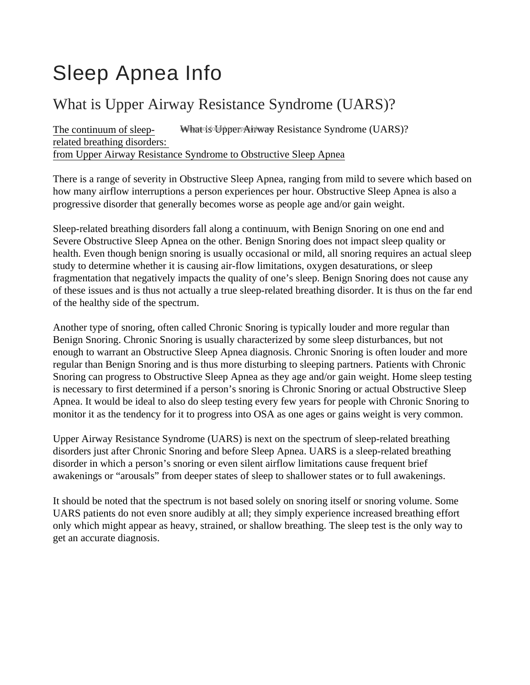# Sleep Apnea Info

## What is Upper Airway Resistance Syndrome (UARS)?

The continuum of sleeprelated breathing disorders: from Upper Airway Resistance Syndrome to Obstructive Sleep Apnea What is Upper Airway Resistance Syndrome (UARS)?

There is a range of severity in Obstructive Sleep Apnea, ranging from mild to severe which based on how many airflow interruptions a person experiences per hour. Obstructive Sleep Apnea is also a progressive disorder that generally becomes worse as people age and/or gain weight.

Sleep-related breathing disorders fall along a continuum, with Benign Snoring on one end and Severe Obstructive Sleep Apnea on the other. Benign Snoring does not impact sleep quality or health. Even though benign snoring is usually occasional or mild, all snoring requires an actual sleep study to determine whether it is causing air-flow limitations, oxygen desaturations, or sleep fragmentation that negatively impacts the quality of one's sleep. Benign Snoring does not cause any of these issues and is thus not actually a true sleep-related breathing disorder. It is thus on the far end of the healthy side of the spectrum.

Another type of snoring, often called Chronic Snoring is typically louder and more regular than Benign Snoring. Chronic Snoring is usually characterized by some sleep disturbances, but not enough to warrant an Obstructive Sleep Apnea diagnosis. Chronic Snoring is often louder and more regular than Benign Snoring and is thus more disturbing to sleeping partners. Patients with Chronic Snoring can progress to Obstructive Sleep Apnea as they age and/or gain weight. Home sleep testing is necessary to first determined if a person's snoring is Chronic Snoring or actual Obstructive Sleep Apnea. It would be ideal to also do sleep testing every few years for people with Chronic Snoring to monitor it as the tendency for it to progress into OSA as one ages or gains weight is very common.

Upper Airway Resistance Syndrome (UARS) is next on the spectrum of sleep-related breathing disorders just after Chronic Snoring and before Sleep Apnea. UARS is a sleep-related breathing disorder in which a person's snoring or even silent airflow limitations cause frequent brief awakenings or "arousals" from deeper states of sleep to shallower states or to full awakenings.

It should be noted that the spectrum is not based solely on snoring itself or snoring volume. Some UARS patients do not even snore audibly at all; they simply experience increased breathing effort only which might appear as heavy, strained, or shallow breathing. The sleep test is the only way to get an accurate diagnosis.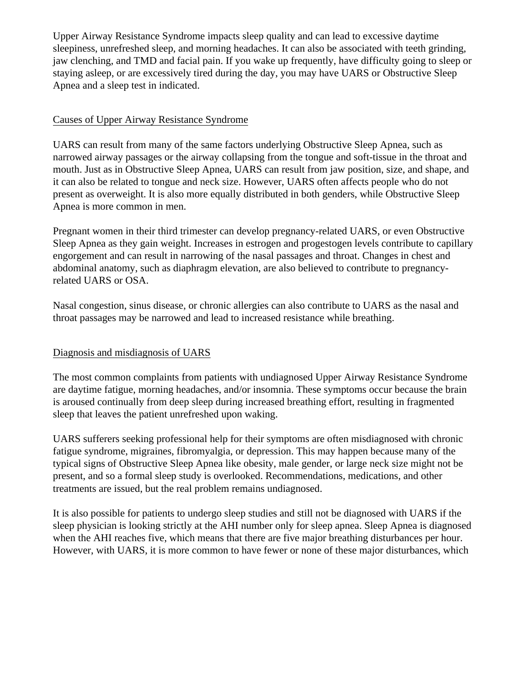Upper Airway Resistance Syndrome impacts sleep quality and can lead to excessive daytime sleepiness, unrefreshed sleep, and morning headaches. It can also be associated with teeth grinding, jaw clenching, and TMD and facial pain. If you wake up frequently, have difficulty going to sleep or staying asleep, or are excessively tired during the day, you may have UARS or Obstructive Sleep Apnea and a sleep test in indicated.

#### Causes of Upper Airway Resistance Syndrome

UARS can result from many of the same factors underlying Obstructive Sleep Apnea, such as narrowed airway passages or the airway collapsing from the tongue and soft-tissue in the throat and mouth. Just as in Obstructive Sleep Apnea, UARS can result from jaw position, size, and shape, and it can also be related to tongue and neck size. However, UARS often affects people who do not present as overweight. It is also more equally distributed in both genders, while Obstructive Sleep Apnea is more common in men.

Pregnant women in their third trimester can develop pregnancy-related UARS, or even Obstructive Sleep Apnea as they gain weight. Increases in estrogen and progestogen levels contribute to capillary engorgement and can result in narrowing of the nasal passages and throat. Changes in chest and abdominal anatomy, such as diaphragm elevation, are also believed to contribute to pregnancyrelated UARS or OSA.

Nasal congestion, sinus disease, or chronic allergies can also contribute to UARS as the nasal and throat passages may be narrowed and lead to increased resistance while breathing.

### Diagnosis and misdiagnosis of UARS

The most common complaints from patients with undiagnosed Upper Airway Resistance Syndrome are daytime fatigue, morning headaches, and/or insomnia. These symptoms occur because the brain is aroused continually from deep sleep during increased breathing effort, resulting in fragmented sleep that leaves the patient unrefreshed upon waking.

UARS sufferers seeking professional help for their symptoms are often misdiagnosed with chronic fatigue syndrome, migraines, fibromyalgia, or depression. This may happen because many of the typical signs of Obstructive Sleep Apnea like obesity, male gender, or large neck size might not be present, and so a formal sleep study is overlooked. Recommendations, medications, and other treatments are issued, but the real problem remains undiagnosed.

It is also possible for patients to undergo sleep studies and still not be diagnosed with UARS if the sleep physician is looking strictly at the AHI number only for sleep apnea. Sleep Apnea is diagnosed when the AHI reaches five, which means that there are five major breathing disturbances per hour. However, with UARS, it is more common to have fewer or none of these major disturbances, which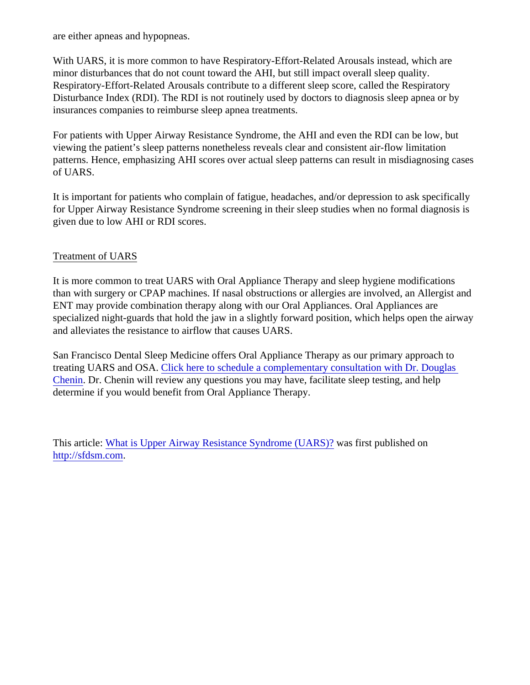are either apneas and hypopneas.

With UARS, it is more common to have Respiratory-Effort-Related Arousals instead, which a minor disturbances that do not count toward the AHI, but still impact overall sleep quality. Respiratory-Effort-Related Arousals contribute to a different sleep score, called the Respiratory-Disturbance Index (RDI). The RDI is not routinely used by doctors to diagnosis sleep apnea  $\epsilon$ insurances companies to reimburse sleep apnea treatments.

For patients with Upper Airway Resistance Syndrome, the AHI and even the RDI can be low. viewing the patient's sleep patterns nonetheless reveals clear and consistent air-flow limitatic patterns. Hence, emphasizing AHI scores over actual sleep patterns can result in misdiagnose of UARS.

It is important for patients who complain of fatigue, headaches, and/or depression to ask spe for Upper Airway Resistance Syndrome screening in their sleep studies when no formal diag given due to low AHI or RDI scores.

#### Treatment of UARS

It is more common to treat UARS with Oral Appliance Therapy and sleep hygiene modificatic than with surgery or CPAP machines. If nasal obstructions or allergies are involved, an Allergist ENT may provide combination therapy along with our Oral Appliances. Oral Appliances are specialized night-guards that hold the jaw in a slightly forward position, which helps open the and alleviates the resistance to airflow that causes UARS.

San Francisco Dental Sleep Medicine offers Oral Appliance Therapy as our primary approac treating UARS and OSAC lick here to schedule a complementary consultation with Dr. Dougla Chenin Dr. Chenin will review any questions you may have, facilitate sleep testing, and help determine if you would benefit from Oral Appliance Therapy.

This article[: What is Upper Airway Resistance Syndrome \(UAR](/Blogpost/uksu/What-is-Upper-Airway-Resistance-Syndrome-UARS))as first published on <http://sfdsm.com>.